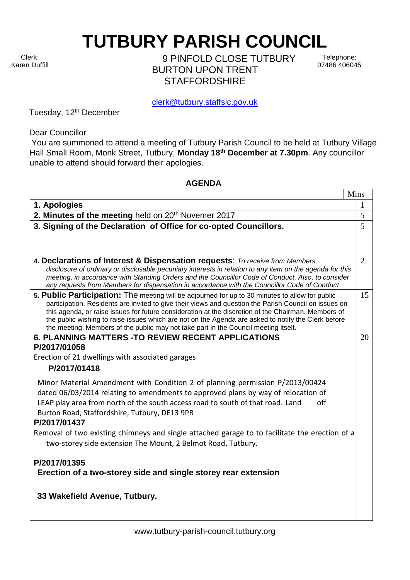Clerk: Karen Duffill **TUTBURY PARISH COUNCIL** 

9 PINFOLD CLOSE TUTBURY BURTON UPON TRENT **STAFFORDSHIRF** 

Telephone: 07486 406045

clerk@tutbury.staffslc.gov.uk

Tuesday, 12<sup>th</sup> December

Dear Councillor

You are summoned to attend a meeting of Tutbury Parish Council to be held at Tutbury Village Hall Small Room, Monk Street, Tutbury, **Monday 18th December at 7.30pm**. Any councillor unable to attend should forward their apologies.

## **AGENDA**

|                                                                                                                                                                                                          | Mins           |
|----------------------------------------------------------------------------------------------------------------------------------------------------------------------------------------------------------|----------------|
| 1. Apologies                                                                                                                                                                                             | $\mathbf 1$    |
| 2. Minutes of the meeting held on 20 <sup>th</sup> Novemer 2017                                                                                                                                          | 5              |
| 3. Signing of the Declaration of Office for co-opted Councillors.                                                                                                                                        | 5              |
|                                                                                                                                                                                                          |                |
|                                                                                                                                                                                                          |                |
| 4. Declarations of Interest & Dispensation requests: To receive from Members                                                                                                                             | $\overline{2}$ |
| disclosure of ordinary or disclosable pecuniary interests in relation to any item on the agenda for this                                                                                                 |                |
| meeting, in accordance with Standing Orders and the Councillor Code of Conduct. Also, to consider                                                                                                        |                |
| any requests from Members for dispensation in accordance with the Councillor Code of Conduct.                                                                                                            |                |
| 5. Public Participation: The meeting will be adjourned for up to 30 minutes to allow for public<br>participation. Residents are invited to give their views and question the Parish Council on issues on | 15             |
| this agenda, or raise issues for future consideration at the discretion of the Chairman. Members of                                                                                                      |                |
| the public wishing to raise issues which are not on the Agenda are asked to notify the Clerk before                                                                                                      |                |
| the meeting. Members of the public may not take part in the Council meeting itself.                                                                                                                      |                |
| <b>6. PLANNING MATTERS - TO REVIEW RECENT APPLICATIONS</b>                                                                                                                                               | 20             |
| P/2017/01058                                                                                                                                                                                             |                |
| Erection of 21 dwellings with associated garages                                                                                                                                                         |                |
| P/2017/01418                                                                                                                                                                                             |                |
| Minor Material Amendment with Condition 2 of planning permission P/2013/00424                                                                                                                            |                |
| dated 06/03/2014 relating to amendments to approved plans by way of relocation of                                                                                                                        |                |
| off<br>LEAP play area from north of the south access road to south of that road. Land                                                                                                                    |                |
| Burton Road, Staffordshire, Tutbury, DE13 9PR                                                                                                                                                            |                |
| P/2017/01437                                                                                                                                                                                             |                |
| Removal of two existing chimneys and single attached garage to to facilitate the erection of a                                                                                                           |                |
| two-storey side extension The Mount, 2 Belmot Road, Tutbury.                                                                                                                                             |                |
|                                                                                                                                                                                                          |                |
| P/2017/01395                                                                                                                                                                                             |                |
| Erection of a two-storey side and single storey rear extension                                                                                                                                           |                |
|                                                                                                                                                                                                          |                |
| 33 Wakefield Avenue, Tutbury.                                                                                                                                                                            |                |
|                                                                                                                                                                                                          |                |
|                                                                                                                                                                                                          |                |